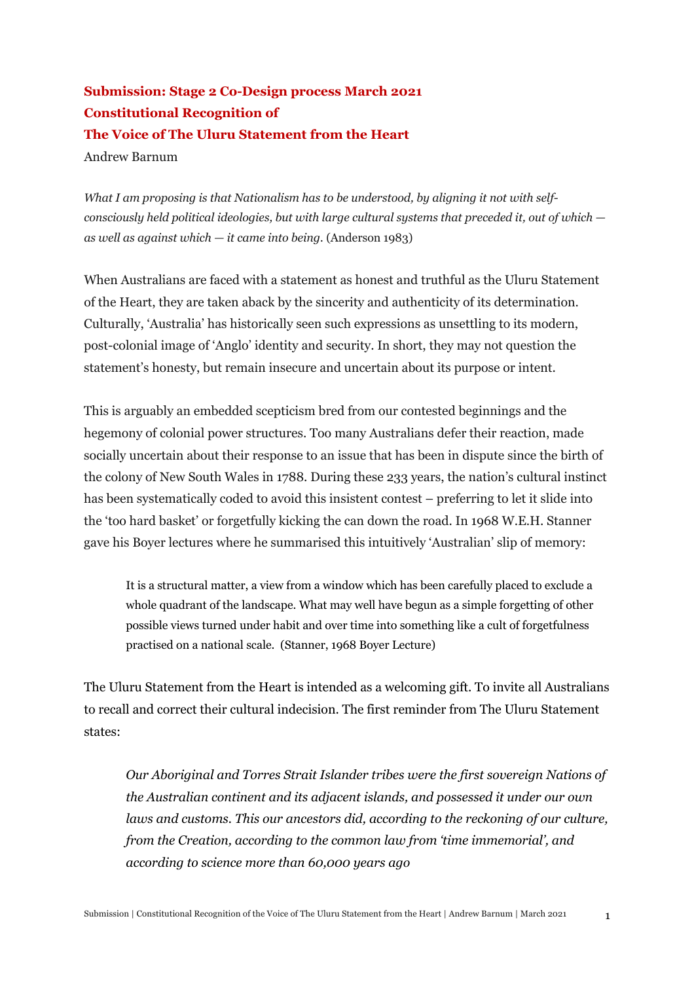## **Submission: Stage 2 Co-Design process March 2021 Constitutional Recognition of The Voice of The Uluru Statement from the Heart**  Andrew Barnum

 *What I am proposing is that Nationalism has to be understood, by aligning it not with self- consciously held political ideologies, but with large cultural systems that preceded it, out of which — as well as against which — it came into being.* (Anderson 1983)

 When Australians are faced with a statement as honest and truthful as the Uluru Statement of the Heart, they are taken aback by the sincerity and authenticity of its determination. Culturally, 'Australia' has historically seen such expressions as unsettling to its modern, post-colonial image of 'Anglo' identity and security. In short, they may not question the statement's honesty, but remain insecure and uncertain about its purpose or intent.

 This is arguably an embedded scepticism bred from our contested beginnings and the hegemony of colonial power structures. Too many Australians defer their reaction, made socially uncertain about their response to an issue that has been in dispute since the birth of the colony of New South Wales in 1788. During these 233 years, the nation's cultural instinct has been systematically coded to avoid this insistent contest – preferring to let it slide into the 'too hard basket' or forgetfully kicking the can down the road. In 1968 W.E.H. Stanner gave his Boyer lectures where he summarised this intuitively 'Australian' slip of memory:

 It is a structural matter, a view from a window which has been carefully placed to exclude a whole quadrant of the landscape. What may well have begun as a simple forgetting of other possible views turned under habit and over time into something like a cult of forgetfulness practised on a national scale. (Stanner, 1968 Boyer Lecture)

 The Uluru Statement from the Heart is intended as a welcoming gift. To invite all Australians to recall and correct their cultural indecision. The first reminder from The Uluru Statement states:

 *Our Aboriginal and Torres Strait Islander tribes were the first sovereign Nations of the Australian continent and its adjacent islands, and possessed it under our own from the Creation, according to the common law from 'time immemorial', and laws and customs. This our ancestors did, according to the reckoning of our culture, according to science more than 60,000 years ago*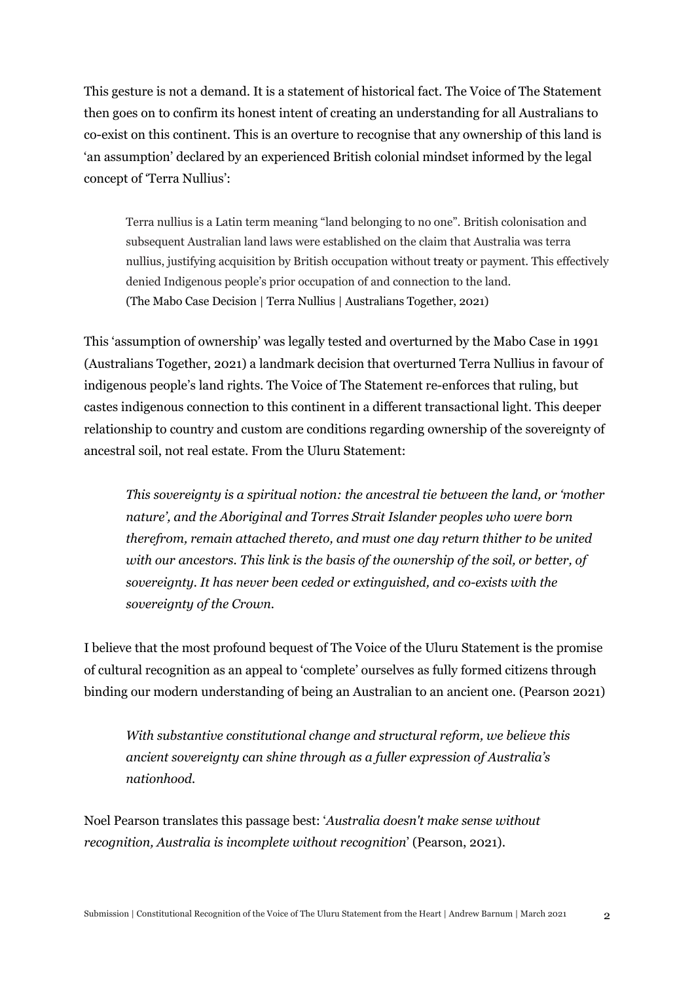This gesture is not a demand. It is a statement of historical fact. The Voice of The Statement co-exist on this continent. This is an overture to recognise that any ownership of this land is 'an assumption' declared by an experienced British colonial mindset informed by the legal concept of 'Terra Nullius': then goes on to confirm its honest intent of creating an understanding for all Australians to

 Terra nullius is a Latin term meaning "land belonging to no one". British colonisation and subsequent Australian land laws were established on the claim that Australia was terra nullius, justifying acquisition by British occupation without treaty or payment. This effectively denied Indigenous people's prior occupation of and connection to the land. (The Mabo Case Decision | Terra Nullius | Australians Together, 2021)

 This 'assumption of ownership' was legally tested and overturned by the Mabo Case in 1991 indigenous people's land rights. The Voice of The Statement re-enforces that ruling, but castes indigenous connection to this continent in a different transactional light. This deeper relationship to country and custom are conditions regarding ownership of the sovereignty of (Australians Together, 2021) a landmark decision that overturned Terra Nullius in favour of ancestral soil, not real estate. From the Uluru Statement:

 *This sovereignty is a spiritual notion: the ancestral tie between the land, or 'mother nature', and the Aboriginal and Torres Strait Islander peoples who were born with our ancestors. This link is the basis of the ownership of the soil, or better, of sovereignty. It has never been ceded or extinguished, and co-exists with the sovereignty of the Crown. therefrom, remain attached thereto, and must one day return thither to be united* 

 I believe that the most profound bequest of The Voice of the Uluru Statement is the promise of cultural recognition as an appeal to 'complete' ourselves as fully formed citizens through binding our modern understanding of being an Australian to an ancient one. (Pearson 2021)

 *With substantive constitutional change and structural reform, we believe this ancient sovereignty can shine through as a fuller expression of Australia's nationhood.* 

 Noel Pearson translates this passage best: '*Australia doesn't make sense without recognition, Australia is incomplete without recognition*' (Pearson, 2021).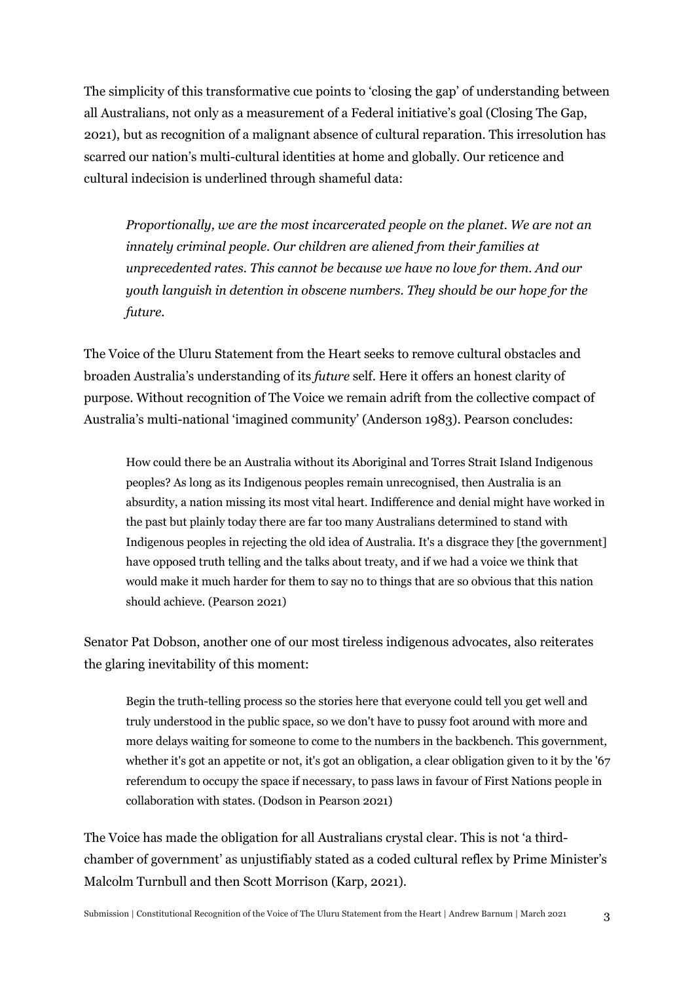The simplicity of this transformative cue points to 'closing the gap' of understanding between all Australians, not only as a measurement of a Federal initiative's goal (Closing The Gap, 2021), but as recognition of a malignant absence of cultural reparation. This irresolution has scarred our nation's multi-cultural identities at home and globally. Our reticence and cultural indecision is underlined through shameful data:

 *Proportionally, we are the most incarcerated people on the planet. We are not an unprecedented rates. This cannot be because we have no love for them. And our youth languish in detention in obscene numbers. They should be our hope for the innately criminal people. Our children are aliened from their families at future.* 

 The Voice of the Uluru Statement from the Heart seeks to remove cultural obstacles and broaden Australia's understanding of its *future* self. Here it offers an honest clarity of purpose. Without recognition of The Voice we remain adrift from the collective compact of Australia's multi-national 'imagined community' (Anderson 1983). Pearson concludes:

 How could there be an Australia without its Aboriginal and Torres Strait Island Indigenous peoples? As long as its Indigenous peoples remain unrecognised, then Australia is an absurdity, a nation missing its most vital heart. Indifference and denial might have worked in the past but plainly today there are far too many Australians determined to stand with Indigenous peoples in rejecting the old idea of Australia. It's a disgrace they [the government] have opposed truth telling and the talks about treaty, and if we had a voice we think that would make it much harder for them to say no to things that are so obvious that this nation should achieve. (Pearson 2021)

Senator Pat Dobson, another one of our most tireless indigenous advocates, also reiterates the glaring inevitability of this moment:

 Begin the truth-telling process so the stories here that everyone could tell you get well and truly understood in the public space, so we don't have to pussy foot around with more and more delays waiting for someone to come to the numbers in the backbench. This government, whether it's got an appetite or not, it's got an obligation, a clear obligation given to it by the '67 referendum to occupy the space if necessary, to pass laws in favour of First Nations people in collaboration with states. (Dodson in Pearson 2021)

 The Voice has made the obligation for all Australians crystal clear. This is not 'a third- chamber of government' as unjustifiably stated as a coded cultural reflex by Prime Minister's Malcolm Turnbull and then Scott Morrison (Karp, 2021).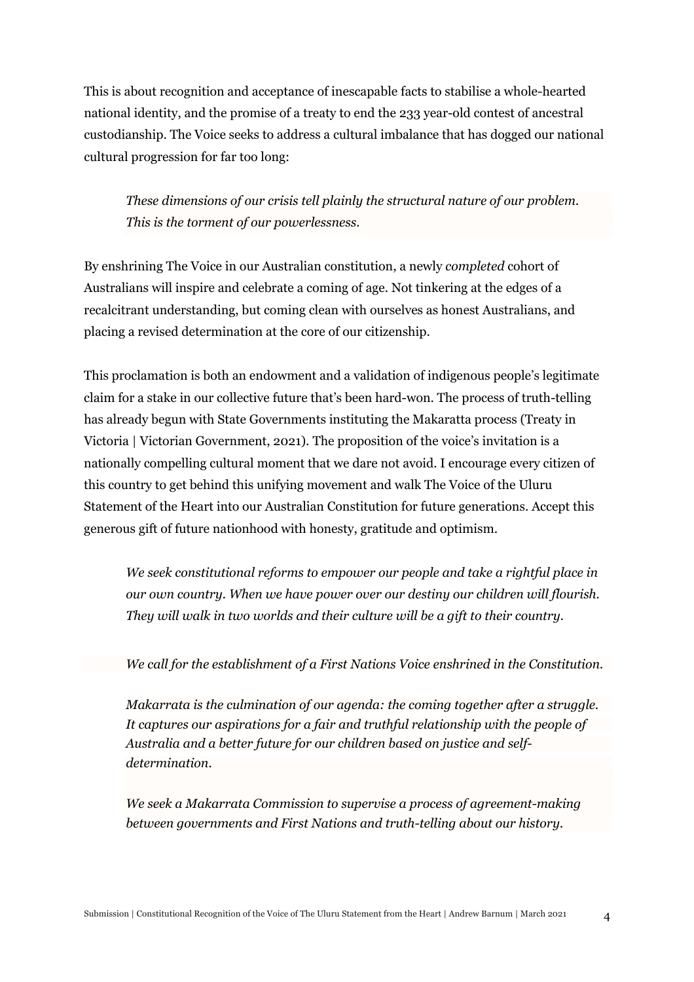This is about recognition and acceptance of inescapable facts to stabilise a whole-hearted national identity, and the promise of a treaty to end the 233 year-old contest of ancestral custodianship. The Voice seeks to address a cultural imbalance that has dogged our national cultural progression for far too long:

 *These dimensions of our crisis tell plainly the structural nature of our problem. This is the torment of our powerlessness.* 

 By enshrining The Voice in our Australian constitution, a newly *completed* cohort of recalcitrant understanding, but coming clean with ourselves as honest Australians, and placing a revised determination at the core of our citizenship. Australians will inspire and celebrate a coming of age. Not tinkering at the edges of a

 has already begun with State Governments instituting the Makaratta process (Treaty in Victoria | Victorian Government, 2021). The proposition of the voice's invitation is a nationally compelling cultural moment that we dare not avoid. I encourage every citizen of this country to get behind this unifying movement and walk The Voice of the Uluru Statement of the Heart into our Australian Constitution for future generations. Accept this generous gift of future nationhood with honesty, gratitude and optimism. This proclamation is both an endowment and a validation of indigenous people's legitimate claim for a stake in our collective future that's been hard-won. The process of truth-telling

We seek constitutional reforms to empower our people and take a rightful place in  *our own country. When we have power over our destiny our children will flourish. They will walk in two worlds and their culture will be a gift to their country.* 

 *We call for the establishment of a First Nations Voice enshrined in the Constitution.* 

 *Makarrata is the culmination of our agenda: the coming together after a struggle. It captures our aspirations for a fair and truthful relationship with the people of Australia and a better future for our children based on justice and selfdetermination* determination.<br>We seek a Makarrata Commission to supervise a process of agreement-making

 *between governments and First Nations and truth-telling about our history.*